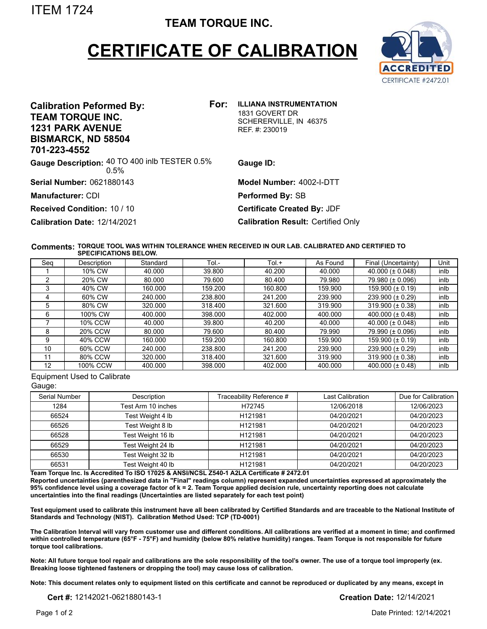ITEM 1724

## **TEAM TORQUE INC.**

## **CERTIFICATE OF CALIBRATION**



| For:<br><b>Calibration Peformed By:</b><br><b>TEAM TORQUE INC.</b><br><b>1231 PARK AVENUE</b><br><b>BISMARCK, ND 58504</b><br>701-223-4552 | <b>ILLIANA INSTRUMENTATION</b><br>1831 GOVERT DR<br>SCHERERVILLE, IN 46375<br>REF. #: 230019 |
|--------------------------------------------------------------------------------------------------------------------------------------------|----------------------------------------------------------------------------------------------|
| Gauge Description: 40 TO 400 inlb TESTER 0.5%<br>0.5%                                                                                      | Gauge ID:                                                                                    |
| <b>Serial Number: 0621880143</b>                                                                                                           | Model Number: 4002-I-DTT                                                                     |
| Manufacturer: CDI                                                                                                                          | Performed By: SB                                                                             |
| <b>Received Condition: 10 / 10</b>                                                                                                         | <b>Certificate Created By: JDF</b>                                                           |
| Calibration Date: 12/14/2021                                                                                                               | <b>Calibration Result: Certified Only</b>                                                    |

## **TORQUE TOOL WAS WITHIN TOLERANCE WHEN RECEIVED IN OUR LAB. CALIBRATED AND CERTIFIED TO Comments: SPECIFICATIONS BELOW.**

| Seg | Description | Standard | Tol.-   | $Tol. +$ | As Found | Final (Uncertainty)   | Unit |
|-----|-------------|----------|---------|----------|----------|-----------------------|------|
|     | 10% CW      | 40.000   | 39.800  | 40.200   | 40.000   | 40.000 ( $\pm$ 0.048) | inlb |
|     | 20% CW      | 80.000   | 79.600  | 80.400   | 79.980   | 79.980 (± 0.096)      | inlb |
|     | 40% CW      | 160.000  | 159.200 | 160.800  | 159.900  | 159.900 ( $\pm$ 0.19) | inlb |
| 4   | 60% CW      | 240.000  | 238.800 | 241.200  | 239.900  | 239.900 (± 0.29)      | inlb |
| 5   | 80% CW      | 320.000  | 318.400 | 321.600  | 319.900  | $319.900 (\pm 0.38)$  | inlb |
| 6   | 100% CW     | 400.000  | 398,000 | 402.000  | 400.000  | 400.000 ( $\pm$ 0.48) | inlb |
|     | 10% CCW     | 40.000   | 39.800  | 40.200   | 40.000   | 40.000 ( $\pm$ 0.048) | inlb |
| 8   | 20% CCW     | 80.000   | 79.600  | 80.400   | 79.990   | 79.990 (± 0.096)      | inlb |
| 9   | 40% CCW     | 160.000  | 159.200 | 160.800  | 159.900  | 159.900 ( $\pm$ 0.19) | inlb |
| 10  | 60% CCW     | 240.000  | 238.800 | 241.200  | 239.900  | 239.900 (± 0.29)      | inlb |
| 11  | 80% CCW     | 320,000  | 318.400 | 321.600  | 319.900  | 319.900 ( $\pm$ 0.38) | inlb |
| 12  | 100% CCW    | 400.000  | 398,000 | 402.000  | 400.000  | 400.000 ( $\pm$ 0.48) | inlb |

Equipment Used to Calibrate

| Ш.<br>ĸ<br>n |
|--------------|
|--------------|

| Serial Number | Description        | Traceability Reference # | Last Calibration | Due for Calibration |
|---------------|--------------------|--------------------------|------------------|---------------------|
| 1284          | Test Arm 10 inches | H72745                   | 12/06/2018       | 12/06/2023          |
| 66524         | Test Weight 4 lb   | H121981                  | 04/20/2021       | 04/20/2023          |
| 66526         | Test Weight 8 lb   | H121981                  | 04/20/2021       | 04/20/2023          |
| 66528         | Test Weight 16 lb  | H121981                  | 04/20/2021       | 04/20/2023          |
| 66529         | Test Weight 24 lb  | H121981                  | 04/20/2021       | 04/20/2023          |
| 66530         | Test Weight 32 lb  | H121981                  | 04/20/2021       | 04/20/2023          |
| 66531         | Test Weight 40 lb  | H121981                  | 04/20/2021       | 04/20/2023          |

**Team Torque Inc. Is Accredited To ISO 17025 & ANSI/NCSL Z540-1 A2LA Certificate # 2472.01**

**Reported uncertainties (parenthesized data in "Final" readings column) represent expanded uncertainties expressed at approximately the 95% confidence level using a coverage factor of k = 2. Team Torque applied decision rule, uncertainty reporting does not calculate uncertainties into the final readings (Uncertainties are listed separately for each test point)**

**Test equipment used to calibrate this instrument have all been calibrated by Certified Standards and are traceable to the National Institute of Standards and Technology (NIST). Calibration Method Used: TCP (TD-0001)**

**The Calibration Interval will vary from customer use and different conditions. All calibrations are verified at a moment in time; and confirmed within controlled temperature (65°F - 75°F) and humidity (below 80% relative humidity) ranges. Team Torque is not responsible for future torque tool calibrations.**

**Note: All future torque tool repair and calibrations are the sole responsibility of the tool's owner. The use of a torque tool improperly (ex. Breaking loose tightened fasteners or dropping the tool) may cause loss of calibration.**

**Note: This document relates only to equipment listed on this certificate and cannot be reproduced or duplicated by any means, except in**

**Cert #:** 12142021-0621880143-1 **Creation Date:** 12/14/2021